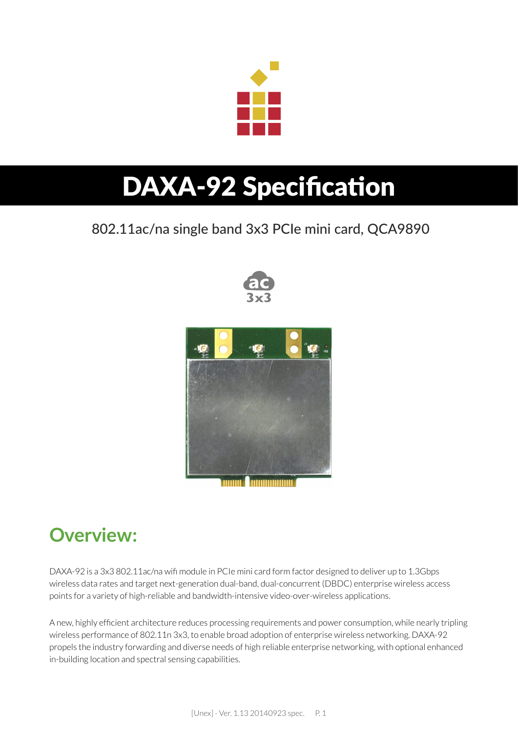

# **DAXA-92 Specification**

#### 802.11ac/na single band 3x3 PCIe mini card, QCA9890





#### **Overview:**

DAXA-92 is a 3x3 802.11ac/na wifi module in PCIe mini card form factor designed to deliver up to 1.3Gbps wireless data rates and target next-generation dual-band, dual-concurrent (DBDC) enterprise wireless access points for a variety of high-reliable and bandwidth-intensive video-over-wireless applications.

A new, highly efficient architecture reduces processing requirements and power consumption, while nearly tripling wireless performance of 802.11n 3x3, to enable broad adoption of enterprise wireless networking. DAXA-92 propels the industry forwarding and diverse needs of high reliable enterprise networking, with optional enhanced in-building location and spectral sensing capabilities.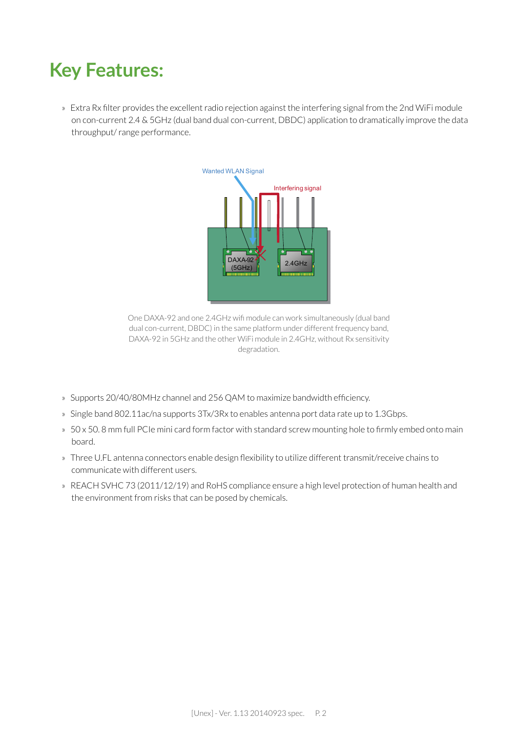#### **Key Features:**

» Extra Rx filter provides the excellent radio rejection against the interfering signal from the 2nd WiFi module on con-current 2.4 & 5GHz (dual band dual con-current, DBDC) application to dramatically improve the data throughput/ range performance.



One DAXA-92 and one 2.4GHz wifi module can work simultaneously (dual band dual con-current, DBDC) in the same platform under different frequency band, DAXA-92 in 5GHz and the other WiFi module in 2.4GHz, without Rx sensitivity degradation.

- » Supports 20/40/80MHz channel and 256 QAM to maximize bandwidth efficiency.
- » Single band 802.11ac/na supports 3Tx/3Rx to enables antenna port data rate up to 1.3Gbps.
- » 50 x 50. 8 mm full PCIe mini card form factor with standard screw mounting hole to firmly embed onto main board.
- » Three U.FL antenna connectors enable design flexibility to utilize different transmit/receive chains to communicate with different users.
- » REACH SVHC 73 (2011/12/19) and RoHS compliance ensure a high level protection of human health and the environment from risks that can be posed by chemicals.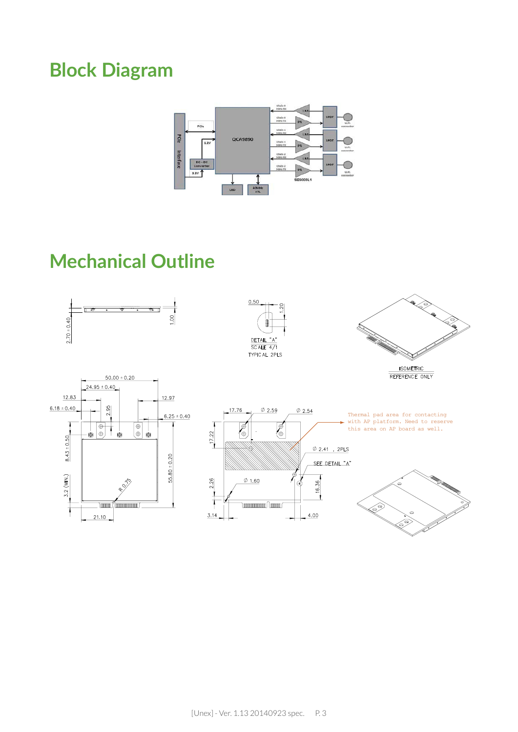### **Block Diagram**



#### **Mechanical Outline**

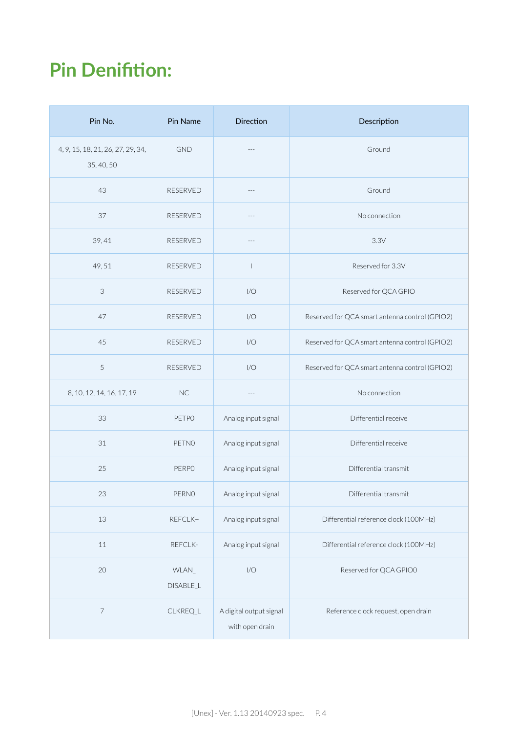### **Pin Denifition:**

| Pin No.                                         | Pin Name           | <b>Direction</b>                           | Description                                    |
|-------------------------------------------------|--------------------|--------------------------------------------|------------------------------------------------|
| 4, 9, 15, 18, 21, 26, 27, 29, 34,<br>35, 40, 50 | <b>GND</b>         | $\overline{a}$                             | Ground                                         |
| 43                                              | RESERVED           | $---$                                      | Ground                                         |
| 37                                              | <b>RESERVED</b>    |                                            | No connection                                  |
| 39,41                                           | <b>RESERVED</b>    | $- - -$                                    | 3.3V                                           |
| 49,51                                           | RESERVED           | $\overline{\phantom{a}}$                   | Reserved for 3.3V                              |
| $\ensuremath{\mathsf{3}}$                       | <b>RESERVED</b>    | 1/O                                        | Reserved for QCA GPIO                          |
| 47                                              | RESERVED           | 1/O                                        | Reserved for QCA smart antenna control (GPIO2) |
| 45                                              | <b>RESERVED</b>    | 1/O                                        | Reserved for QCA smart antenna control (GPIO2) |
| 5                                               | RESERVED           | 1/O                                        | Reserved for QCA smart antenna control (GPIO2) |
| 8, 10, 12, 14, 16, 17, 19                       | NC                 |                                            | No connection                                  |
| 33                                              | <b>PETPO</b>       | Analog input signal                        | Differential receive                           |
| 31                                              | PETNO              | Analog input signal                        | Differential receive                           |
| 25                                              | <b>PERPO</b>       | Analog input signal                        | Differential transmit                          |
| 23                                              | PERNO              | Analog input signal                        | Differential transmit                          |
| 13                                              | REFCLK+            | Analog input signal                        | Differential reference clock (100MHz)          |
| 11                                              | REFCLK-            | Analog input signal                        | Differential reference clock (100MHz)          |
| 20                                              | WLAN_<br>DISABLE_L | 1/O                                        | Reserved for QCA GPIO0                         |
| $\overline{\phantom{a}}$                        | CLKREQ_L           | A digital output signal<br>with open drain | Reference clock request, open drain            |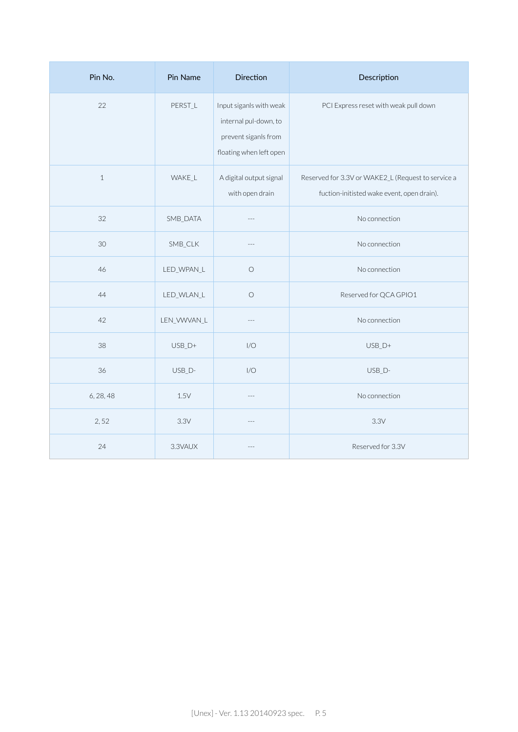| Pin No.      | Pin Name      | <b>Direction</b>                                                                                    | Description                                                                                      |
|--------------|---------------|-----------------------------------------------------------------------------------------------------|--------------------------------------------------------------------------------------------------|
| 22           | PERST_L       | Input siganls with weak<br>internal pul-down, to<br>prevent siganls from<br>floating when left open | PCI Express reset with weak pull down                                                            |
| $\mathbf{1}$ | <b>WAKE_L</b> | A digital output signal<br>with open drain                                                          | Reserved for 3.3V or WAKE2_L (Request to service a<br>fuction-initisted wake event, open drain). |
| 32           | SMB_DATA      |                                                                                                     | No connection                                                                                    |
| 30           | SMB_CLK       |                                                                                                     | No connection                                                                                    |
| 46           | LED_WPAN_L    | $\circ$                                                                                             | No connection                                                                                    |
| 44           | LED_WLAN_L    | $\bigcirc$                                                                                          | Reserved for QCA GPIO1                                                                           |
| 42           | LEN_VWVAN_L   |                                                                                                     | No connection                                                                                    |
| 38           | $USB_D+$      | 1/O                                                                                                 | $USB_D+$                                                                                         |
| 36           | USB_D-        | 1/O                                                                                                 | USB_D-                                                                                           |
| 6, 28, 48    | 1.5V          |                                                                                                     | No connection                                                                                    |
| 2,52         | 3.3V          |                                                                                                     | 3.3V                                                                                             |
| 24           | 3.3VAUX       |                                                                                                     | Reserved for 3.3V                                                                                |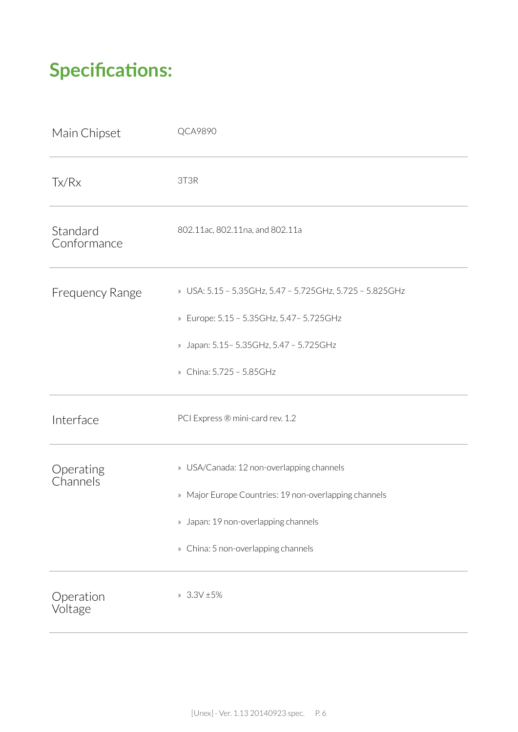### **Specifications:**

| Main Chipset            | <b>QCA9890</b>                                                                                                                                                                    |
|-------------------------|-----------------------------------------------------------------------------------------------------------------------------------------------------------------------------------|
| Tx/Rx                   | 3T3R                                                                                                                                                                              |
| Standard<br>Conformance | 802.11ac, 802.11na, and 802.11a                                                                                                                                                   |
| <b>Frequency Range</b>  | » USA: 5.15 - 5.35GHz, 5.47 - 5.725GHz, 5.725 - 5.825GHz<br>» Europe: 5.15 - 5.35GHz, 5.47 - 5.725GHz<br>» Japan: 5.15 - 5.35 GHz, 5.47 - 5.725 GHz<br>» China: 5.725 - 5.85GHz   |
| Interface               | PCI Express ® mini-card rev. 1.2                                                                                                                                                  |
| Operating<br>Channels   | » USA/Canada: 12 non-overlapping channels<br>» Major Europe Countries: 19 non-overlapping channels<br>» Japan: 19 non-overlapping channels<br>» China: 5 non-overlapping channels |
| Operation<br>Voltage    | $3.3V \pm 5\%$                                                                                                                                                                    |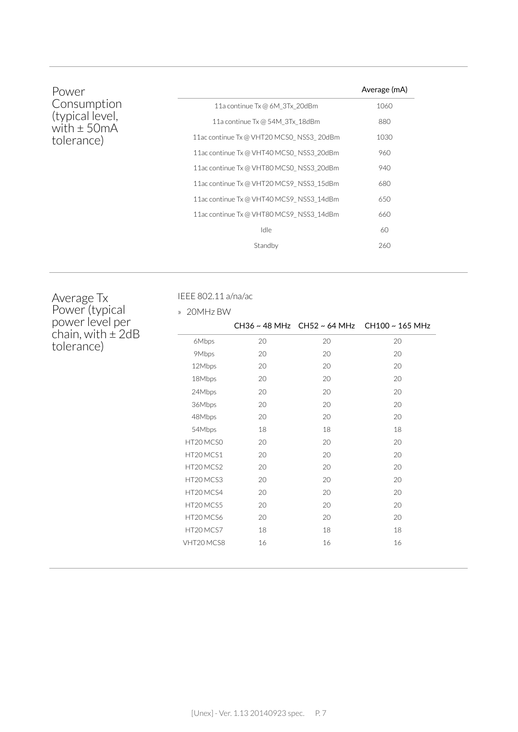| Power                                                           |                                          | Average (mA) |
|-----------------------------------------------------------------|------------------------------------------|--------------|
| Consumption<br>(typical level,<br>with $\pm$ 50mA<br>tolerance) | 11a continue Tx @ 6M 3Tx 20dBm           | 1060         |
|                                                                 | 11a continue Tx @ 54M 3Tx 18dBm          | 880          |
|                                                                 | 11ac continue Tx @ VHT20 MCS0 NSS3 20dBm | 1030         |
|                                                                 | 11ac continue Tx @ VHT40 MCS0 NSS3 20dBm | 960          |
|                                                                 | 11ac continue Tx @ VHT80 MCS0 NSS3 20dBm | 940          |
|                                                                 | 11ac continue Tx @ VHT20 MCS9 NSS3 15dBm | 680          |
|                                                                 | 11ac continue Tx @ VHT40 MCS9 NSS3 14dBm | 650          |
|                                                                 | 11ac continue Tx @ VHT80 MCS9 NSS3 14dBm | 660          |
|                                                                 | Idle                                     | 60           |
|                                                                 | Standby                                  | 260          |
|                                                                 |                                          |              |

Average Tx Power (typical power level per chain, with  $\pm$  2dB tolerance)

IEEE 802.11 a/na/ac

| 20MHz BW<br>$\mathcal{V}$ |    |    |                                             |
|---------------------------|----|----|---------------------------------------------|
|                           |    |    | CH36 ~ 48 MHz CH52 ~ 64 MHz CH100 ~ 165 MHz |
| 6Mbps                     | 20 | 20 | 20                                          |
| 9Mbps                     | 20 | 20 | 20                                          |
| 12Mbps                    | 20 | 20 | 20                                          |
| 18Mbps                    | 20 | 20 | 20                                          |
| 24Mbps                    | 20 | 20 | 20                                          |
| 36Mbps                    | 20 | 20 | 20                                          |
| 48Mbps                    | 20 | 20 | 20                                          |
| 54Mbps                    | 18 | 18 | 18                                          |
| HT20 MCS0                 | 20 | 20 | 20                                          |
| HT20 MCS1                 | 20 | 20 | 20                                          |
| HT20 MCS2                 | 20 | 20 | 20                                          |
| HT20 MCS3                 | 20 | 20 | 20                                          |
| HT20 MCS4                 | 20 | 20 | 20                                          |
| HT20 MCS5                 | 20 | 20 | 20                                          |
| HT20 MCS6                 | 20 | 20 | 20                                          |
| HT20 MCS7                 | 18 | 18 | 18                                          |
| VHT20 MCS8                | 16 | 16 | 16                                          |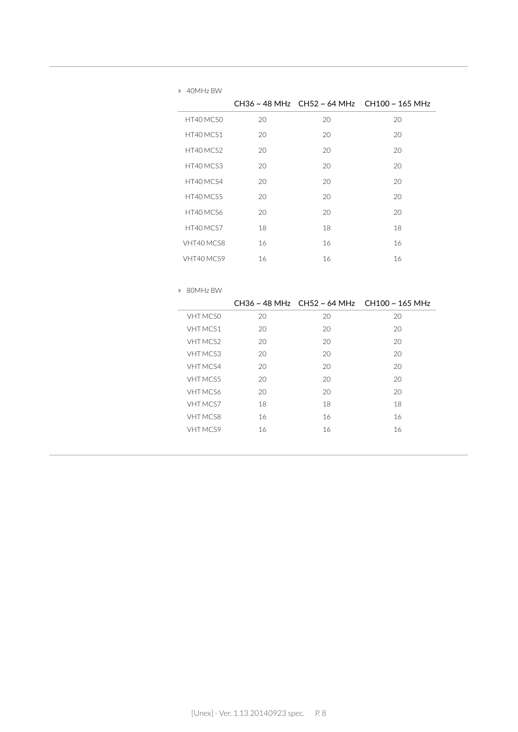|            |    |    | CH36~48 MHz CH52~64 MHz CH100~165 MHz |
|------------|----|----|---------------------------------------|
| HT40 MCS0  | 20 | 20 | 20                                    |
| HT40 MCS1  | 20 | 20 | 20                                    |
| HT40 MCS2  | 20 | 20 | 20                                    |
| HT40 MCS3  | 20 | 20 | 20                                    |
| HT40 MCS4  | 20 | 20 | 20                                    |
| HT40 MCS5  | 20 | 20 | 20                                    |
| HT40 MCS6  | 20 | 20 | 20                                    |
| HT40 MCS7  | 18 | 18 | 18                                    |
| VHT40 MCS8 | 16 | 16 | 16                                    |
| VHT40 MCS9 | 16 | 16 | 16                                    |

| $\rangle$ | 80MHz BW        |    |    |                                       |
|-----------|-----------------|----|----|---------------------------------------|
|           |                 |    |    | CH36~48 MHz CH52~64 MHz CH100~165 MHz |
|           | <b>VHT MCSO</b> | 20 | 20 | 20                                    |
|           | VHT MCS1        | 20 | 20 | 20                                    |
|           | <b>VHT MCS2</b> | 20 | 20 | 20                                    |
|           | <b>VHT MCS3</b> | 20 | 20 | 20                                    |
|           | <b>VHT MCS4</b> | 20 | 20 | 20                                    |
|           | <b>VHT MCS5</b> | 20 | 20 | 20                                    |
|           | VHT MCS6        | 20 | 20 | 20                                    |
|           | VHT MCS7        | 18 | 18 | 18                                    |
|           | <b>VHT MCS8</b> | 16 | 16 | 16                                    |
|           | VHT MCS9        | 16 | 16 | 16                                    |
|           |                 |    |    |                                       |

» 40MHz BW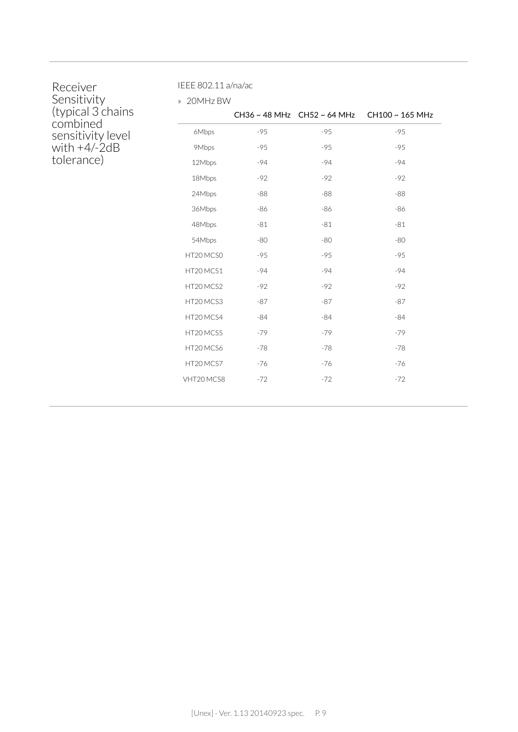| Receiver          |
|-------------------|
| Sensitivity       |
| (typical 3 chains |
| combined          |
| sensitivity level |
| with $+4/-2dB$    |
| tolerance)        |

IEEE 802.11 a/na/ac

» 20MHz BW

|            |       |       | CH36 ~ 48 MHz CH52 ~ 64 MHz CH100 ~ 165 MHz |
|------------|-------|-------|---------------------------------------------|
| 6Mbps      | $-95$ | $-95$ | $-95$                                       |
| 9Mbps      | $-95$ | $-95$ | $-95$                                       |
| 12Mbps     | $-94$ | $-94$ | $-94$                                       |
| 18Mbps     | $-92$ | $-92$ | $-92$                                       |
| 24Mbps     | $-88$ | $-88$ | $-88$                                       |
| 36Mbps     | -86   | -86   | -86                                         |
| 48Mbps     | $-81$ | $-81$ | $-81$                                       |
| 54Mbps     | $-80$ | -80   | -80                                         |
| HT20 MCS0  | $-95$ | $-95$ | $-95$                                       |
| HT20 MCS1  | $-94$ | $-94$ | $-94$                                       |
| HT20 MCS2  | $-92$ | $-92$ | $-92$                                       |
| HT20MCS3   | $-87$ | $-87$ | $-87$                                       |
| HT20 MCS4  | $-84$ | $-84$ | $-84$                                       |
| HT20 MCS5  | $-79$ | $-79$ | $-79$                                       |
| HT20 MCS6  | $-78$ | $-78$ | $-78$                                       |
| HT20 MCS7  | $-76$ | $-76$ | $-76$                                       |
| VHT20 MCS8 | $-72$ | $-72$ | $-72$                                       |
|            |       |       |                                             |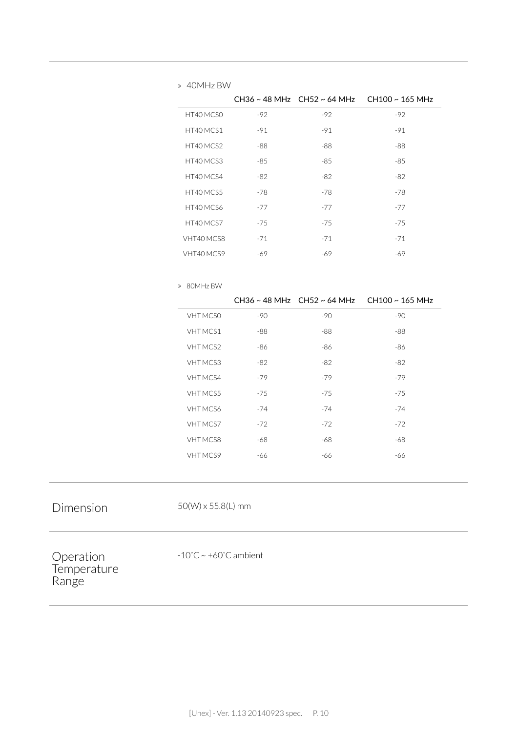| CH36 ~ 48 MHz CH52 ~ 64 MHz CH100 ~ 165 MHz |
|---------------------------------------------|
|                                             |
|                                             |
|                                             |
|                                             |
|                                             |
|                                             |
|                                             |
|                                             |
|                                             |
|                                             |
|                                             |
|                                             |
|                                             |

|                 |       |       | CH36 ~ 48 MHz CH52 ~ 64 MHz CH100 ~ 165 MHz |
|-----------------|-------|-------|---------------------------------------------|
| VHT MCS0        | $-90$ | $-90$ | $-90$                                       |
| VHT MCS1        | -88   | -88   | -88                                         |
| VHT MCS2        | -86   | -86   | -86                                         |
| VHT MCS3        | -82   | -82   | -82                                         |
| VHT MCS4        | $-79$ | $-79$ | $-79$                                       |
| VHT MCS5        | $-75$ | $-75$ | $-75$                                       |
| <b>VHT MCS6</b> | $-74$ | $-74$ | -74                                         |
| <b>VHT MCS7</b> | $-72$ | $-72$ | $-72$                                       |
| <b>VHT MCS8</b> | -68   | -68   | -68                                         |
| <b>VHT MCS9</b> | -66   | -66   | -66                                         |

Dimension 50(W) x 55.8(L) mm

» 80MHz BW

Operation **Temperature** Range

-10˚C ~ +60˚C ambient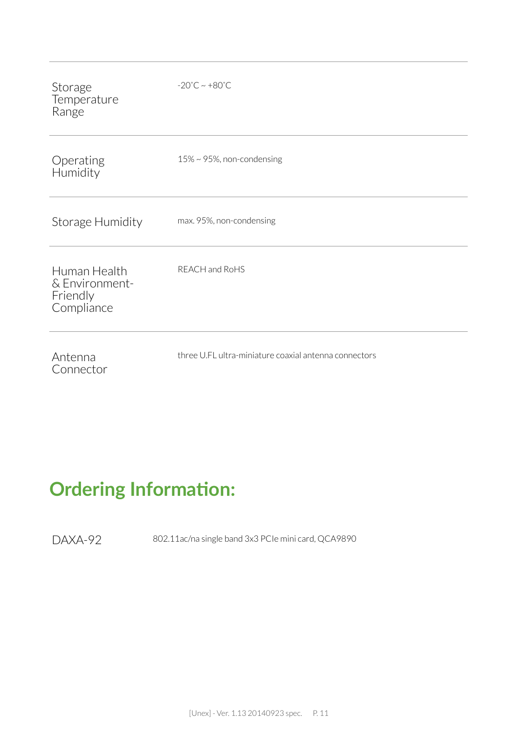| Storage<br>Temperature<br>Range                          | $-20^{\circ}$ C ~ $+80^{\circ}$ C                     |
|----------------------------------------------------------|-------------------------------------------------------|
| Operating<br>Humidity                                    | $15\% \sim 95\%$ , non-condensing                     |
| Storage Humidity                                         | max. 95%, non-condensing                              |
| Human Health<br>& Environment-<br>Friendly<br>Compliance | REACH and RoHS                                        |
| Antenna<br>Connector                                     | three U.FL ultra-miniature coaxial antenna connectors |

## **Ordering Information:**

DAXA-92 802.11ac/na single band 3x3 PCIe mini card, QCA9890